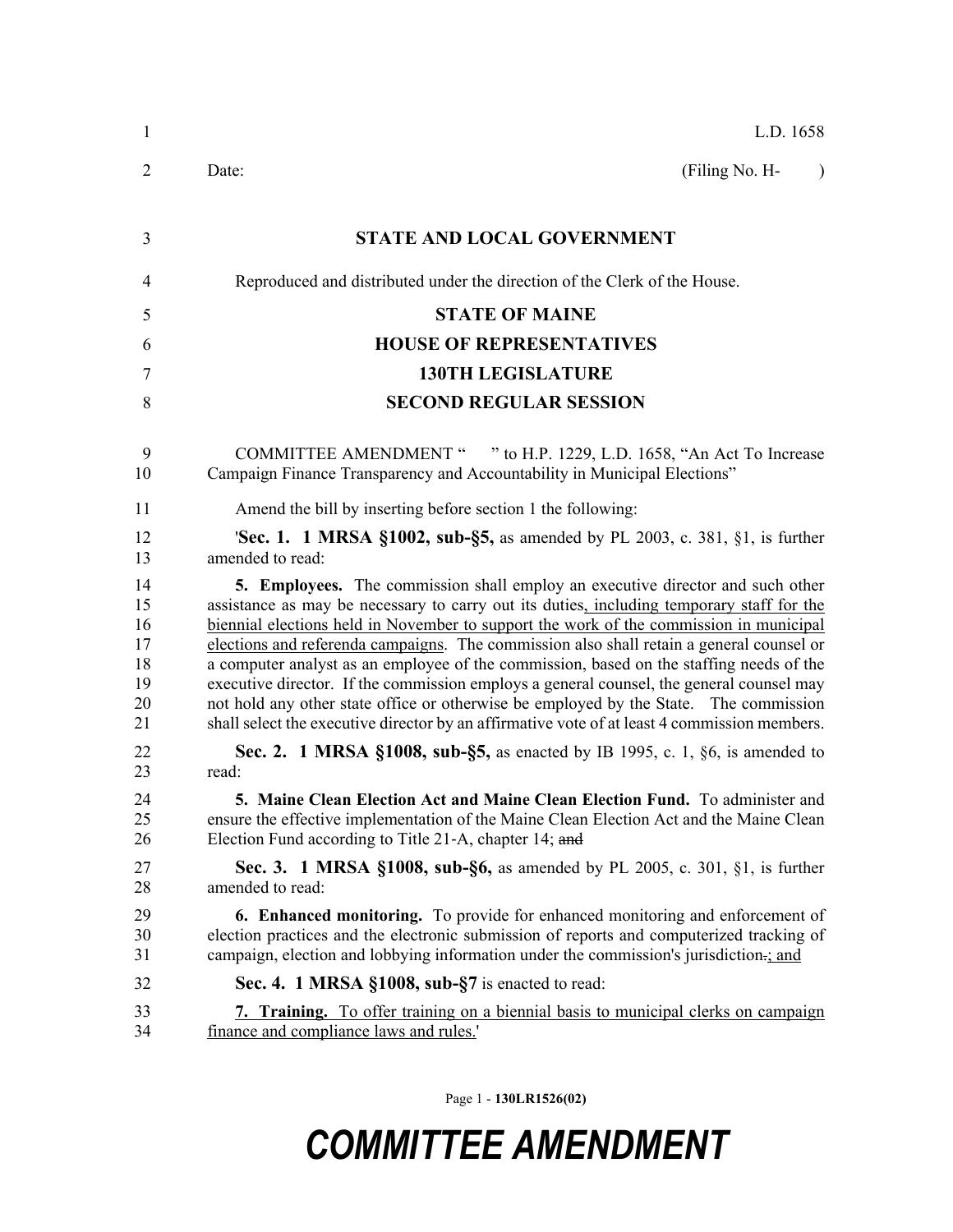| $\mathbf{1}$                                 | L.D. 1658                                                                                                                                                                                                                                                                                                                                                                                                                                                                                                                                                                                                                                                                                                                                                |
|----------------------------------------------|----------------------------------------------------------------------------------------------------------------------------------------------------------------------------------------------------------------------------------------------------------------------------------------------------------------------------------------------------------------------------------------------------------------------------------------------------------------------------------------------------------------------------------------------------------------------------------------------------------------------------------------------------------------------------------------------------------------------------------------------------------|
| 2                                            | (Filing No. H-<br>Date:<br>$\lambda$                                                                                                                                                                                                                                                                                                                                                                                                                                                                                                                                                                                                                                                                                                                     |
| 3                                            | <b>STATE AND LOCAL GOVERNMENT</b>                                                                                                                                                                                                                                                                                                                                                                                                                                                                                                                                                                                                                                                                                                                        |
| 4                                            | Reproduced and distributed under the direction of the Clerk of the House.                                                                                                                                                                                                                                                                                                                                                                                                                                                                                                                                                                                                                                                                                |
| 5                                            | <b>STATE OF MAINE</b>                                                                                                                                                                                                                                                                                                                                                                                                                                                                                                                                                                                                                                                                                                                                    |
| 6                                            | <b>HOUSE OF REPRESENTATIVES</b>                                                                                                                                                                                                                                                                                                                                                                                                                                                                                                                                                                                                                                                                                                                          |
| 7                                            | <b>130TH LEGISLATURE</b>                                                                                                                                                                                                                                                                                                                                                                                                                                                                                                                                                                                                                                                                                                                                 |
| 8                                            | <b>SECOND REGULAR SESSION</b>                                                                                                                                                                                                                                                                                                                                                                                                                                                                                                                                                                                                                                                                                                                            |
| 9<br>10                                      | COMMITTEE AMENDMENT " " to H.P. 1229, L.D. 1658, "An Act To Increase<br>Campaign Finance Transparency and Accountability in Municipal Elections"                                                                                                                                                                                                                                                                                                                                                                                                                                                                                                                                                                                                         |
| 11                                           | Amend the bill by inserting before section 1 the following:                                                                                                                                                                                                                                                                                                                                                                                                                                                                                                                                                                                                                                                                                              |
| 12<br>13                                     | <b>Sec. 1. 1 MRSA §1002, sub-§5,</b> as amended by PL 2003, c. 381, §1, is further<br>amended to read:                                                                                                                                                                                                                                                                                                                                                                                                                                                                                                                                                                                                                                                   |
| 14<br>15<br>16<br>17<br>18<br>19<br>20<br>21 | <b>5. Employees.</b> The commission shall employ an executive director and such other<br>assistance as may be necessary to carry out its duties, including temporary staff for the<br>biennial elections held in November to support the work of the commission in municipal<br>elections and referenda campaigns. The commission also shall retain a general counsel or<br>a computer analyst as an employee of the commission, based on the staffing needs of the<br>executive director. If the commission employs a general counsel, the general counsel may<br>not hold any other state office or otherwise be employed by the State. The commission<br>shall select the executive director by an affirmative vote of at least 4 commission members. |
| 22<br>23                                     | <b>Sec. 2. 1 MRSA §1008, sub-§5,</b> as enacted by IB 1995, c. 1, §6, is amended to<br>read:                                                                                                                                                                                                                                                                                                                                                                                                                                                                                                                                                                                                                                                             |
| 24<br>25<br>26                               | 5. Maine Clean Election Act and Maine Clean Election Fund. To administer and<br>ensure the effective implementation of the Maine Clean Election Act and the Maine Clean<br>Election Fund according to Title 21-A, chapter 14; and                                                                                                                                                                                                                                                                                                                                                                                                                                                                                                                        |
| 27<br>28                                     | <b>Sec. 3.</b> 1 MRSA §1008, sub-§6, as amended by PL 2005, c. 301, §1, is further<br>amended to read:                                                                                                                                                                                                                                                                                                                                                                                                                                                                                                                                                                                                                                                   |
| 29<br>30<br>31                               | <b>6. Enhanced monitoring.</b> To provide for enhanced monitoring and enforcement of<br>election practices and the electronic submission of reports and computerized tracking of<br>campaign, election and lobbying information under the commission's jurisdiction-; and                                                                                                                                                                                                                                                                                                                                                                                                                                                                                |
| 32                                           | Sec. 4. 1 MRSA §1008, sub-§7 is enacted to read:                                                                                                                                                                                                                                                                                                                                                                                                                                                                                                                                                                                                                                                                                                         |
| 33<br>34                                     | 7. Training. To offer training on a biennial basis to municipal clerks on campaign<br>finance and compliance laws and rules.'                                                                                                                                                                                                                                                                                                                                                                                                                                                                                                                                                                                                                            |

Page 1 - **130LR1526(02)**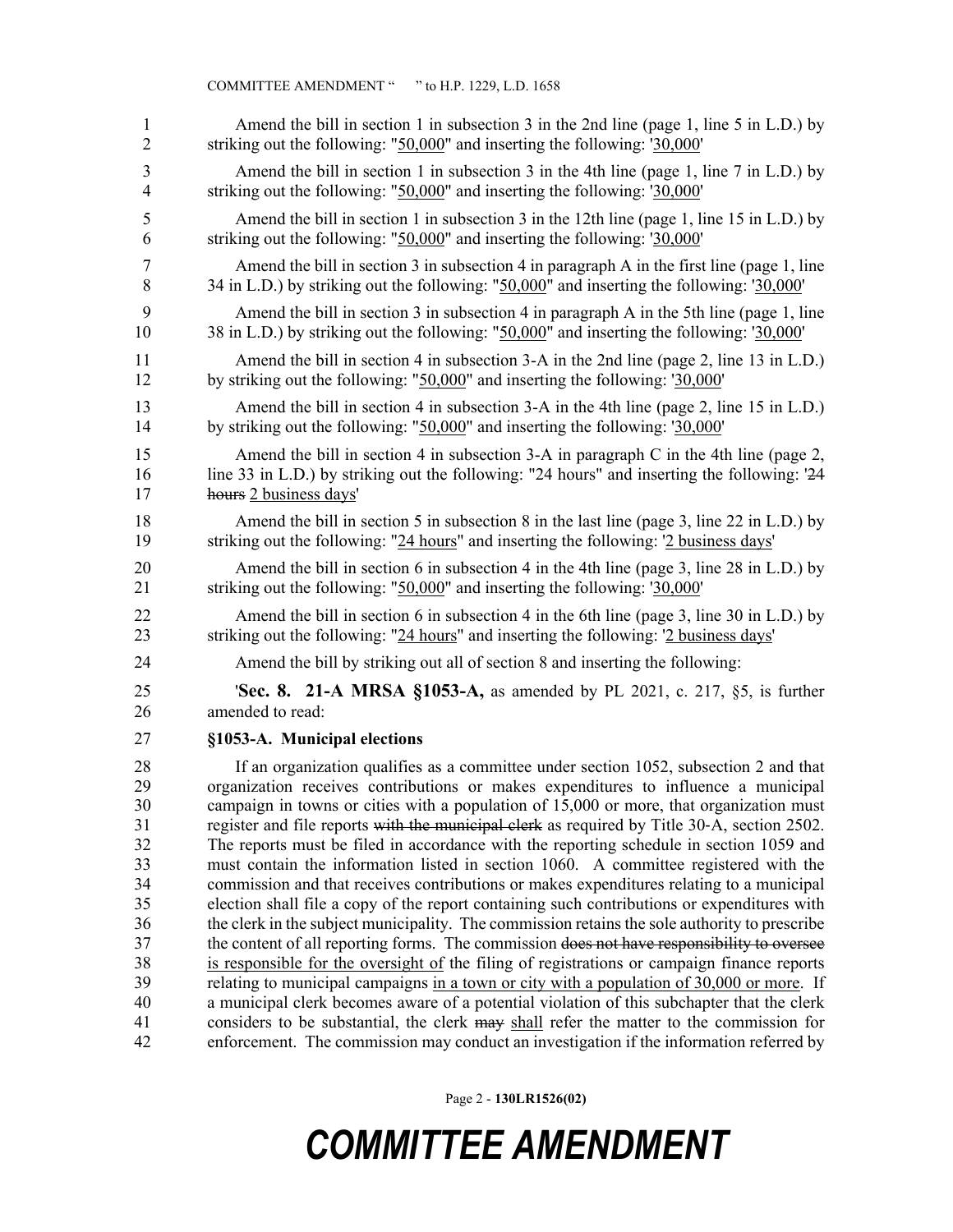| 1              | Amend the bill in section 1 in subsection 3 in the 2nd line (page 1, line 5 in L.D.) by       |
|----------------|-----------------------------------------------------------------------------------------------|
| $\overline{2}$ | striking out the following: "50,000" and inserting the following: '30,000'                    |
| 3              | Amend the bill in section 1 in subsection 3 in the 4th line (page 1, line 7 in L.D.) by       |
| 4              | striking out the following: " $50,000$ " and inserting the following: ' $30,000$ '            |
| 5              | Amend the bill in section 1 in subsection 3 in the 12th line (page 1, line 15 in L.D.) by     |
| 6              | striking out the following: "50,000" and inserting the following: '30,000'                    |
| 7              | Amend the bill in section 3 in subsection 4 in paragraph A in the first line (page 1, line    |
| 8              | 34 in L.D.) by striking out the following: "50,000" and inserting the following: '30,000'     |
| 9              | Amend the bill in section 3 in subsection 4 in paragraph A in the 5th line (page 1, line      |
| 10             | 38 in L.D.) by striking out the following: "50,000" and inserting the following: '30,000'     |
| 11             | Amend the bill in section 4 in subsection 3-A in the 2nd line (page 2, line 13 in L.D.)       |
| 12             | by striking out the following: " $50,000$ " and inserting the following: ' $30,000$ '         |
| 13             | Amend the bill in section 4 in subsection 3-A in the 4th line (page 2, line 15 in L.D.)       |
| 14             | by striking out the following: " $50,000$ " and inserting the following: ' $30,000$ '         |
| 15             | Amend the bill in section 4 in subsection 3-A in paragraph C in the 4th line (page 2,         |
| 16             | line 33 in L.D.) by striking out the following: "24 hours" and inserting the following: '24   |
| 17             | hours 2 business days'                                                                        |
| 18             | Amend the bill in section 5 in subsection 8 in the last line (page 3, line 22 in L.D.) by     |
| 19             | striking out the following: "24 hours" and inserting the following: '2 business days'         |
| 20             | Amend the bill in section 6 in subsection 4 in the 4th line (page 3, line 28 in L.D.) by      |
| 21             | striking out the following: " $50,000$ " and inserting the following: ' $30,000$ '            |
| 22             | Amend the bill in section 6 in subsection 4 in the 6th line (page 3, line 30 in L.D.) by      |
| 23             | striking out the following: "24 hours" and inserting the following: '2 business days'         |
| 24             | Amend the bill by striking out all of section 8 and inserting the following:                  |
| 25             | <b>Sec. 8. 21-A MRSA §1053-A,</b> as amended by PL 2021, c. 217, §5, is further               |
| 26             | amended to read:                                                                              |
| 27             | §1053-A. Municipal elections                                                                  |
| 28             | If an organization qualifies as a committee under section 1052, subsection 2 and that         |
| 29             | organization receives contributions or makes expenditures to influence a municipal            |
| 30             | campaign in towns or cities with a population of 15,000 or more, that organization must       |
| 31             | register and file reports with the municipal clerk as required by Title 30-A, section 2502.   |
| 32             | The reports must be filed in accordance with the reporting schedule in section 1059 and       |
| 33             | must contain the information listed in section 1060. A committee registered with the          |
| 34             | commission and that receives contributions or makes expenditures relating to a municipal      |
| 35             | election shall file a copy of the report containing such contributions or expenditures with   |
| 36             | the clerk in the subject municipality. The commission retains the sole authority to prescribe |
| 37             | the content of all reporting forms. The commission does not have responsibility to oversee    |
| 38             | is responsible for the oversight of the filing of registrations or campaign finance reports   |
| 39             | relating to municipal campaigns in a town or city with a population of 30,000 or more. If     |
| 40             | a municipal clerk becomes aware of a potential violation of this subchapter that the clerk    |
| 41             | considers to be substantial, the clerk may shall refer the matter to the commission for       |
| 42             | enforcement. The commission may conduct an investigation if the information referred by       |

Page 2 - **130LR1526(02)**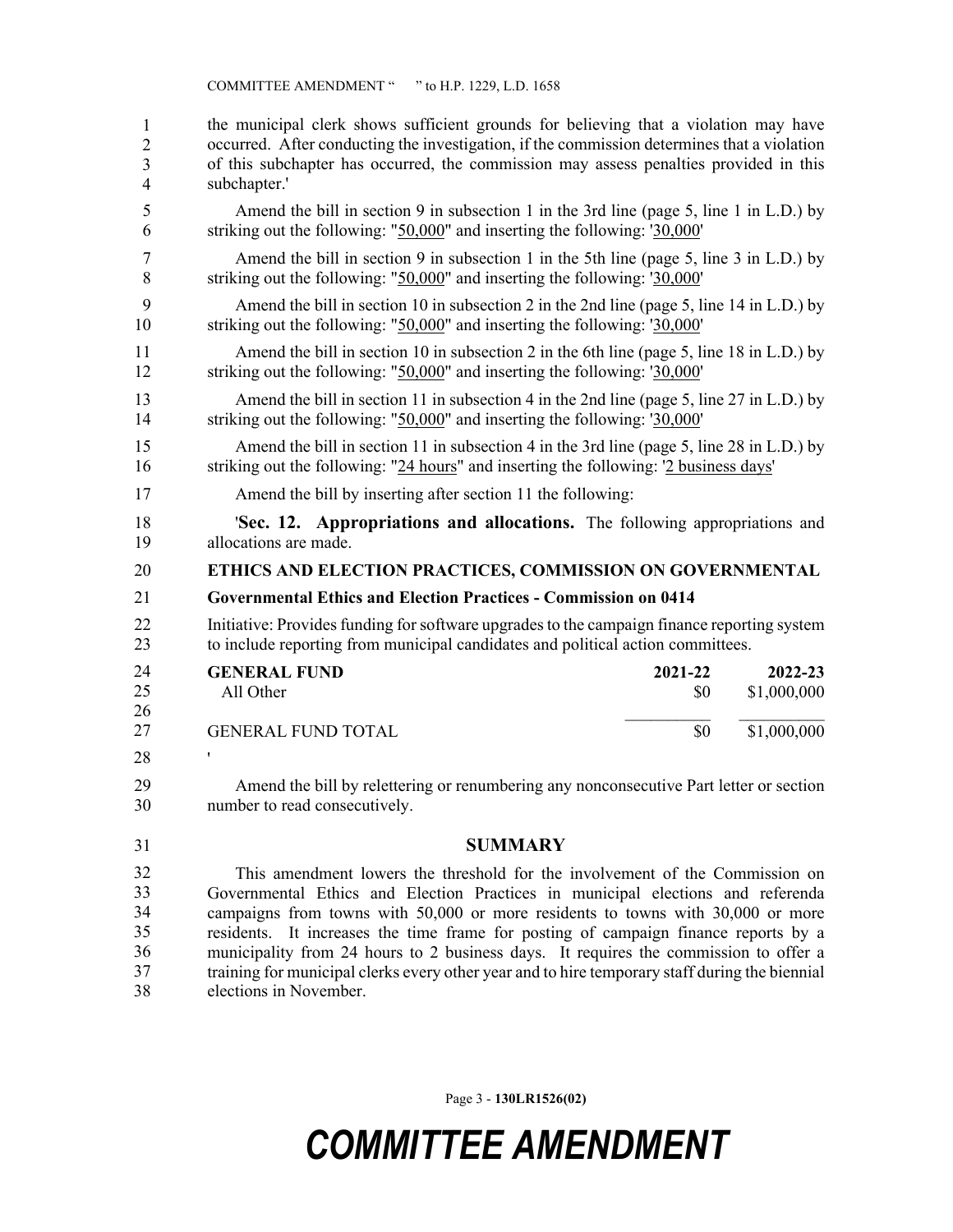| 1              | the municipal clerk shows sufficient grounds for believing that a violation may have           |
|----------------|------------------------------------------------------------------------------------------------|
| 2              | occurred. After conducting the investigation, if the commission determines that a violation    |
| 3              | of this subchapter has occurred, the commission may assess penalties provided in this          |
| $\overline{4}$ | subchapter.'                                                                                   |
| 5              | Amend the bill in section 9 in subsection 1 in the 3rd line (page 5, line 1 in L.D.) by        |
| 6              | striking out the following: " $50,000$ " and inserting the following: ' $30,000$ '             |
| 7              | Amend the bill in section 9 in subsection 1 in the 5th line (page 5, line 3 in L.D.) by        |
| 8              | striking out the following: "50,000" and inserting the following: '30,000'                     |
| 9              | Amend the bill in section 10 in subsection 2 in the 2nd line (page 5, line 14 in L.D.) by      |
| 10             | striking out the following: " $50,000$ " and inserting the following: ' $30,000$ '             |
| 11             | Amend the bill in section 10 in subsection 2 in the 6th line (page 5, line 18 in L.D.) by      |
| 12             | striking out the following: "50,000" and inserting the following: '30,000'                     |
| 13             | Amend the bill in section 11 in subsection 4 in the 2nd line (page 5, line 27 in L.D.) by      |
| 14             | striking out the following: " $50,000$ " and inserting the following: ' $30,000$ '             |
| 15             | Amend the bill in section 11 in subsection 4 in the 3rd line (page 5, line 28 in L.D.) by      |
| 16             | striking out the following: "24 hours" and inserting the following: '2 business days'          |
| 17             | Amend the bill by inserting after section 11 the following:                                    |
| 18             | <b>Sec. 12. Appropriations and allocations.</b> The following appropriations and               |
| 19             | allocations are made.                                                                          |
| 20             | ETHICS AND ELECTION PRACTICES, COMMISSION ON GOVERNMENTAL                                      |
| 21             | <b>Governmental Ethics and Election Practices - Commission on 0414</b>                         |
| 22             | Initiative: Provides funding for software upgrades to the campaign finance reporting system    |
| 23             | to include reporting from municipal candidates and political action committees.                |
| 24<br>25<br>26 | <b>GENERAL FUND</b><br>2021-22<br>2022-23<br>All Other<br>\$0<br>\$1,000,000                   |
| 27             | \$1,000,000<br><b>GENERAL FUND TOTAL</b><br>\$0                                                |
| 28             |                                                                                                |
| 29             | Amend the bill by relettering or renumbering any nonconsecutive Part letter or section         |
| 30             | number to read consecutively.                                                                  |
| 31             | <b>SUMMARY</b>                                                                                 |
| 32             | This amendment lowers the threshold for the involvement of the Commission on                   |
| 33             | Governmental Ethics and Election Practices in municipal elections and referenda                |
| 34             | campaigns from towns with 50,000 or more residents to towns with 30,000 or more                |
| 35             | residents. It increases the time frame for posting of campaign finance reports by a            |
| 36             | municipality from 24 hours to 2 business days. It requires the commission to offer a           |
| 37             | training for municipal clerks every other year and to hire temporary staff during the biennial |

elections in November. 38

Page 3 - **130LR1526(02)**